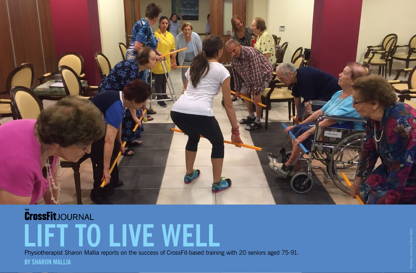

# **CrossFit**JOURNAL **LIFT TO LIVE WELL**

**BY SHARON MALLIA** Physiotherapist Sharon Mallia reports on the success of CrossFit-based training with 20 seniors aged 75-91.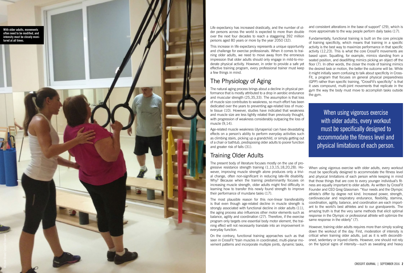and consistent alterations in the base of support" (29), which is more approximate to the way people perform daily tasks (17).

When using vigorous exercise with older adults, every workout must be specifically designed to accommodate the fitness level and physical limitations of each person while keeping in mind that those things that are core to every younger individual's fit ness are equally important to older adults. As written by CrossFit Founder and CEO Greg Glassman: "Your needs and the Olympic athlete's differ by degree not kind. Increased power, strength, cardiovascular and respiratory endurance, flexibility, stamina, coordination, agility, balance, and coordination are each import ant to the world's best athletes and to our grandparents. The amazing truth is that the very same methods that elicit optimal response in the Olympic or professional athlete will optimize the same response in the elderly" (7).

Fundamentally, functional training is built on the core principle of training specificity, which means that training in a specific activity is the best way to maximize performance in that specific activity (12,23). This is what the core CrossFit movements are based upon. Squatting, for example, mimics standing from a seated position, and deadlifting mimics picking an object off the floor (7). In other words, the closer the mode of training mimics the desired task or motion, the better the outcome will be. While it might initially seem confusing to talk about specificity in Cross - Fit, a program that focuses on general physical preparedness (GPP) rather than specific training, "CrossFit's specificity" is that it uses compound, multi-joint movements that replicate in the gym the way the body must move to accomplish tasks outside the gym.

However, training older adults requires more than simply scaling down the workout of the day. First, moderation of intensity is critical when training older adults, just as it is with deconditi oned, sedentary or injured clients. However, one should not rely on the typical signs of intensity—such as sweating and heavy

Life expectancy has increased drastically, and the number of ol der persons across the world is expected to more than double over the next four decades to reach a staggering 392 million persons aged 80 years or more by the year 2050 (32).

This increase in life expectancy represents a unique opportunity and challenge for exercise professionals. When it comes to trai ning older adults, we need to move away from the erroneous impression that older adults should only engage in mild-to-mo derate physical activity. However, in order to provide a safe yet effective training program, every professional trainer must keep a few things in mind.

### The Physiology of Aging

The natural aging process brings about a decline in physical per formance that is mostly attributed to a drop in aerobic endurance and muscular strength (25,35,33). The assumption is that loss of muscle size contributes to weakness, so much effort has been dedicated over the years to preventing age-related loss of musc le tissue (10). However, studies have indicated that weakness and muscle size are less tightly related than previously thought, with progression of weakness considerably outpacing the loss of muscle (9,14).

Age-related muscle weakness (dynapenia) can have devastating effects on a person's ability to perform everyday activities such as climbing stairs, picking up a grandchild, or simply getting out of a chair or bathtub, predisposing older adults to poorer function and greater risk of falls (31).

## Training Older Adults

The present body of literature focuses mostly on the use of pro gressive resistance strength training (1,13,15,18,20,28). Ho wever, improving muscle strength alone produces only a trivi al change, often non-significant in reducing late-life disability. Why? Because when the training predominantly focuses on increasing muscle strength, older adults might find difficulty in learning how to transfer this newly found strength to improve their performance of mundane tasks (17).

The most plausible reason for this non-linear transferability is that even though age-related decline in muscle strength is strongly associated with functional decline in older adults (11), the aging process also influences other motor elements such as balance, agility and coordination (27). Therefore, if the exercise program only targets one essential body motor element, the trai ning effect will not necessarily translate into an improvement in everyday function.

On the contrary, functional training approaches such as that seen in CrossFit "train muscles in coordinated, multi-planar mo vement patterns and incorporate multiple joints, dynamic tasks,

When using vigorous exercise with older adults, every workout must be specifically designed to accommodate the fitness level and physical limitations of each person.

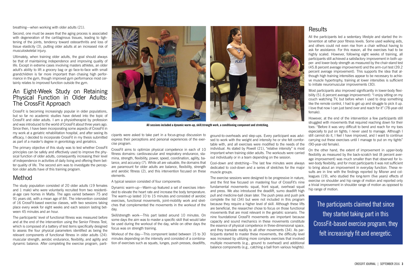ground-to-overheads and step-ups. Every participant was advised to work with the weight and intensity he or she felt comfortable with, and all exercises were modified to the needs of the individual. As stated by Powell (21), "relative intensity" is most important when training older adults. The workouts were carried out individually or in a team depending on the session.

Cool-down and stretching—The last few minutes were always dedicated to cool-down and a series of stretches for the major muscle groups.

The exercise sessions were designed to be progressive in nature, and the first few focused on mastering four of CrossFit's nine fundamental movements: squat, front squat, overhead squat and press. We also introduced the deadlift, sumo deadlift high pull and medicine-ball clean later. The push press and push jerk complete the list (34) but were not included in this program because they require a higher level of skill. Although these lifts are beneficial, the researcher chose to focus on those functional movements that are most relevant in the geriatric scenario. The nine foundational CrossFit movements are important because capacity and sound mechanics in these movements constitute the essence of physical competence in three-dimensional space, and they translate readily to all other movements (34). As participants started to master these movements, the difficulty level was increased by utilizing more complex exercises that involved multiple movements (e.g., ground to overhead) and additional balance components (e.g., catching a ball from various heights).

#### **Results**

cipants were asked to take part in a focus-group discussion to express their perceptions and personal experiences of the exercise program.

CrossFit aims to optimize physical competence in each of 10 fitness domains: cardiovascular and respiratory endurance, stamina, strength, flexibility, power, speed, coordination, agility, balance, and accuracy (7). While all are valuable, the domains that are paramount for older adults are balance, flexibility, strength and aerobic fitness (2), and this intervention focused on these elements.

A typical session consisted of four components:

Dynamic warm-up—Warm-up featured a set of exercises intended to elevate the heart rate and increase the body temperature. The warm-up lasted 10 to 15 minutes and consisted of aerobic exercises, functional movements, joint-mobility work and stretches that complemented the movements in the workout of the day.

Skill/strength work—This part lasted around 10 minutes. On some days the aim was to master a specific skill that would later be used during the workout of the day, while on other days the focus was on strength training.

Workout of the day—This component lasted between 15 to 30 minutes depending on the intensity and consisted of a combination of exercises such as squats, lunges, push presses, deadlifts,

breathing—when working with older adults (21).

Second, one must be aware that the aging process is associated with degeneration of the cartilaginous tissues, leading to tightening of the joints, tendency toward osteoarthritis and loss of tissue elasticity (3), putting older adults at an increased risk of musculoskeletal injury.

Ultimately, when training older adults, the goal should always be that of maintaining independence and improving quality of life. Except in extreme cases involving masters athletes, an older adult's ability to lift a grocery bag or go face-to-face with small grandchildren is far more important than chasing high performance in the gym, though improved gym performance most certainly relates to improved function outside the gym.

#### An Eight-Week Study on Retaining Physical Function in Older Adults: The CrossFit Approach

CrossFit is becoming increasingly popular in older populations, but so far no academic studies have delved into the topic of CrossFit and older adults. I am a physiotherapist by profession and was introduced to the world of CrossFit about three years ago. Since then, I have been incorporating some aspects of CrossFit in my work at a geriatric rehabilitation hospital, and after seeing its efficacy, I decided to incorporate CrossFit in my thesis submitted as part of a master's degree in gerontology and geriatrics.

The primary objective of this study was to test whether CrossFit principles can be safely and effectively used to improve the physical function of older adults, consequently increasing their level of independence in activities of daily living and offering them better quality of life. The second aim was to investigate the perception older adults have of this training program.

#### Method

The study population consisted of 20 older adults (19 females and 1 male) who were voluntarily recruited from two residential-age care homes in Malta. The ages varied between 75 and 91 years old, with a mean age of 84. The intervention consisted of 16 CrossFit-based exercise classes, with two sessions taking place every week for eight weeks and each session lasting between 45 minutes and an hour.

The participants' level of functional fitness was measured before and at the end of the intervention using the Senior Fitness Test, which is composed of a battery of test items specifically designed to assess the four physical parameters identified as being the relevant components of functional fitness in older adults (24): muscular strength, aerobic endurance, flexibility, and agility and dynamic balance. After completing the exercise program, parti-

The participants claimed that since they started taking part in this CrossFit-based exercise program, they felt increasingly fit and energetic.



**All sessions included a dynamic warm-up, skill/strength work, a conditioning component and stretching.**

All the participants led a sedentary lifestyle and started the intervention at rather poor fitness levels. Some used walking aids, and others could not even rise from a chair without having to ask for assistance. For this reason, all the exercises had to be highly scaled. However, following eight weeks of training, all participants still achieved a satisfactory improvement in both upper- and lower-body strength as measured by the chair-stand test (45.8 percent average improvement) and the arm-curl test (39.2 percent average improvement). This supports the idea that although high training intensities appear to be necessary to achieve muscle hypertrophy, training at lower intensities is sufficient to initiate neuromuscular improvements (30).

Most participants also improved significantly in lower-body flexibility (51.6 percent average improvement): "I enjoy sitting on my couch watching TV, but before when I used to drop something like the remote control, I had to get up and struggle to pick it up. I love that now I can just bend over and reach for it" (78-year-old female).

However, at the end of the intervention a few participants still struggled with movements that required reaching down for their toes: "Before it was very difficult to bend and reach for my toes especially to put on tights; I never used to manage. Although I still cannot do it, I feel I have improved, and I want to continue carrying out these exercises until I manage to put on my tights" (90-year-old female).

On the other hand, the extent of improvement in upper-body flexibility as measured by the back-scratch test (8 percent average improvement) was much smaller than that observed for lower-body flexibility, and for most participants it was not sufficient to bring about an improvement in everyday function. These results are in line with the findings reported by Misner and colleagues (19), who studied the long-term (five years) effects of exercise on shoulder and hip range of motion and reported only a trivial improvement in shoulder range of motion as opposed to hip range of motion.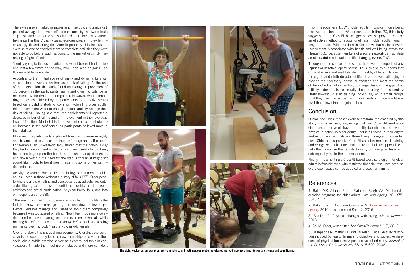There was also a marked improvement in aerobic endurance (21 percent average improvement) as measured by the two-minute step test, and the participants claimed that since they started taking part in this CrossFit-based exercise program, they felt increasingly fit and energetic. More importantly, this increase in exercise tolerance enabled them to complete activities they were not able to do before, such as going to the market or simply managing a flight of stairs.

"I enjoy going to the local market and whilst before I had to stop and rest a few times on the way, now I can keep on going," an 81-year-old female stated.

According to their initial scores of agility and dynamic balance, all participants were at an increased risk of falling. At the end of the intervention, this study found an average improvement of 15 percent in the participants' agility and dynamic balance as measured by the timed up-and-go test. However, when comparing the scores achieved by the participants to normative scores based on a validity study of community-dwelling older adults, this improvement was not enough to substantially abridge their risk of falling. Having said that, the participants still reported a decrease in fear of falling and an improvement in their everyday level of function. Most of this improvement can be attributed to an increase in self-confidence, as participants believed more in their abilities.

Moreover, the participants explained how this increase in agility and balance led to a boost in their self-image and self-esteem. For example, an 84-year-old lady shared that the previous day they had an outing, and while the bus driver usually had to bring her a step to go up on the bus, this time she managed to go up and down without the need for the step. Although it might not sound like much, to her it meant regaining some of her lost independence.

Activity avoidance due to fear of falling is common in older adults—even in those without a history of falls (37). Older people who are afraid of falling and consequently avoid activities enter a debilitating spiral of loss of confidence, restriction of physical activities and social participation, physical frailty, falls, and loss of independence (5,38).

"The major positive impact these exercises had on my life is the fact that now I can manage to go up and down a few steps. Before I did not manage and I used to avoid them completely because I was too scared of falling. Now I feel much more confident and I can even manage certain movements (she said while bracing herself) that I could not manage before such as crossing my hands over my body," said a 78-year-old female.

Over and above the physical improvements, CrossFit gave participants the opportunity to build new friendships and widen their social circle. While exercise served as a communal topic in conversation, it made them feel more included and more confident









**The eight-week program was progressive in nature, and testing at completion revelealed marked increases in participants' strength and conditioning.** 

in joining social events. With older adults in long-term care being inactive and alone up to 65 per cent of their time (6), this study suggests that a CrossFit-based group-exercise program can be an effective method to reduce loneliness in older adults living in long-term care. Evidence does in fact show that social-network involvement is associated with health and well-being across the lifespan (16) because members of a social network can facilitate an older adult's adaptation to life-changing events (26).

Throughout the course of the study, there were no reports of any injuries or negative repercussions. Thus, this study supports that CrossFit is safe and well tolerated in healthy older adults even in the eighth and ninth decades of life. It can prove challenging to provide the necessary individual attention and meet the needs of the individual while tending to a large class, so I suggest that initially older adults—especially those starting from sedentary lifestyles—should start training individually or in small groups until they can master the basic movements and reach a fitness level that allows them to join a class.

### Conclusion

Overall, the CrossFit-based exercise program implemented by this study was a success, suggesting that two CrossFit-based exercise classes per week have the ability to enhance the level of physical function in older adults, including those in their eighth and ninth decades of life and those living in long-term residential care. Older adults perceive CrossFit as a fun method of training and recognize that its functional nature and holistic approach can help them improve their ability to carry out everyday tasks and subsequently retain their independence.

Finally, implementing a CrossFit-based exercise program for older adults is feasible even with restricted financial resources because every open space can be adapted and used for training.

## References

1. Baker MK, Atlantis E, and Fiatarone Singh MA. Multi-modal exercise programs for older adults. *Age and Ageing* 36: 375- 381, 2007.

2. Baker J, and Boudreau Convoner M. [Exercise for successful](http://static1.squarespace.com/static/51744ea7e4b08db7107375e5/t/519960d8e4b0ef02d1bd6814/1369006296096/SUCCESSFUL+AGEING.pdf) [ageing.](http://static1.squarespace.com/static/51744ea7e4b08db7107375e5/t/519960d8e4b0ef02d1bd6814/1369006296096/SUCCESSFUL+AGEING.pdf) 2010. Last accessed Sept. 7, 2016.

3. Besdine R. Physical changes with aging. *Merck Manual*,

2013.

4. Cej M. Older, wiser, fitter. *The CrossFit Journal*: 1-7, 2013.

5. Deshpande N, Metter EJ, and Lauretani F et al. Activity restriction induced by fear of falling and objective and subjective measures of physical function: A prospective cohort study. *Journal of the American Geriatric Society* 56: 615-620, 2008.